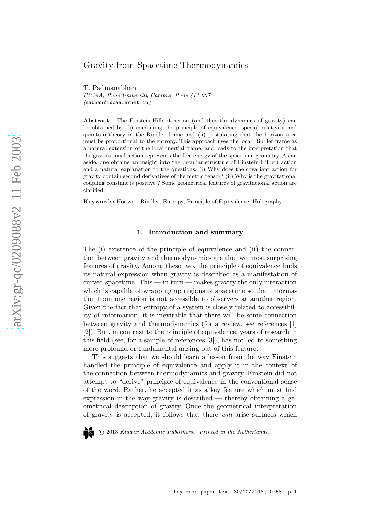# Gravity from Spacetime Thermodynamics

T. Padmanabhan IUCAA, Pune University Campus, Pune 411 007 (nabhan@iucaa.ernet.in)

Abstract. The Einstein-Hilbert action (and thus the dynamics of gravity) can be obtained by: (i) combining the principle of equivalence, special relativity and quantum theory in the Rindler frame and (ii) postulating that the horizon area must be proportional to the entropy. This approach uses the local Rindler frame as a natural extension of the local inertial frame, and leads to the interpretation that the gravitational action represents the free energy of the spacetime geometry. As an aside, one obtains an insight into the peculiar structure of Einstein-Hilbert action and a natural explanation to the questions: (i) Why does the covariant action for gravity contain second derivatives of the metric tensor? (ii) Why is the gravitational coupling constant is positive ? Some geometrical features of gravitational action are clarified.

Keywords: Horizon, Rindler, Entropy, Principle of Equivalence, Holography

#### 1. Introduction and summary

The (i) existence of the principle of equivalence and (ii) the connection between gravity and thermodynamics are the two most surprising features of gravity. Among these two, the principle of equivalence finds its natural expression when gravity is described as a manifestation of curved spacetime. This — in turn — makes gravity the only interaction which is capable of wrapping up regions of spacetime so that information from one region is not accessible to observers at another region. Given the fact that entropy of a system is closely related to accessibility of information, it is inevitable that there will be some connection between gravity and thermodynamics (for a review, see references [1] [2]). But, in contrast to the principle of equivalence, years of research in this field (see, for a sample of references [3]), has not led to something more profound or fundamental arising out of this feature.

This suggests that we should learn a lesson from the way Einstein handled the principle of equivalence and apply it in the context of the connection between thermodynamics and gravity. Einstein did not attempt to "derive" principle of equivalence in the conventional sense of the word. Rather, he accepted it as a key feature which must find expression in the way gravity is described — thereby obtaining a geometrical description of gravity. Once the geometrical interpretation of gravity is accepted, it follows that there will arise surfaces which



c 2018 Kluwer Academic Publishers. Printed in the Netherlands.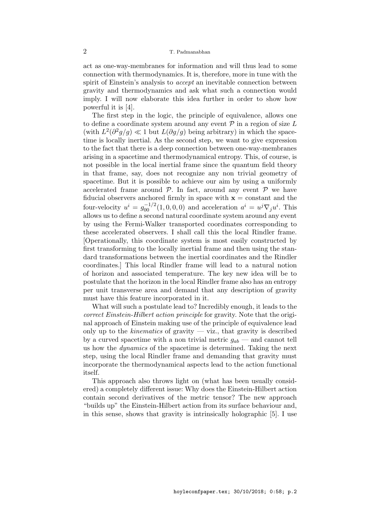act as one-way-membranes for information and will thus lead to some connection with thermodynamics. It is, therefore, more in tune with the spirit of Einstein's analysis to *accept* an inevitable connection between gravity and thermodynamics and ask what such a connection would imply. I will now elaborate this idea further in order to show how powerful it is [4].

The first step in the logic, the principle of equivalence, allows one to define a coordinate system around any event  $P$  in a region of size L (with  $L^2(\partial^2 g/g) \ll 1$  but  $L(\partial g/g)$  being arbitrary) in which the spacetime is locally inertial. As the second step, we want to give expression to the fact that there is a deep connection between one-way-membranes arising in a spacetime and thermodynamical entropy. This, of course, is not possible in the local inertial frame since the quantum field theory in that frame, say, does not recognize any non trivial geometry of spacetime. But it is possible to achieve our aim by using a uniformly accelerated frame around  $P$ . In fact, around any event  $P$  we have fiducial observers anchored firmly in space with  $x = constant$  and the four-velocity  $u^i = g_{00}^{-1/2}(1,0,0,0)$  and acceleration  $a^i = u^j \nabla_j u^i$ . This allows us to define a second natural coordinate system around any event by using the Fermi-Walker transported coordinates corresponding to these accelerated observers. I shall call this the local Rindler frame. [Operationally, this coordinate system is most easily constructed by first transforming to the locally inertial frame and then using the standard transformations between the inertial coordinates and the Rindler coordinates.] This local Rindler frame will lead to a natural notion of horizon and associated temperature. The key new idea will be to postulate that the horizon in the local Rindler frame also has an entropy per unit transverse area and demand that any description of gravity must have this feature incorporated in it.

What will such a postulate lead to? Incredibly enough, it leads to the correct Einstein-Hilbert action principle for gravity. Note that the original approach of Einstein making use of the principle of equivalence lead only up to the *kinematics* of gravity — viz., that gravity is described by a curved spacetime with a non trivial metric  $g_{ab}$  — and cannot tell us how the *dynamics* of the spacetime is determined. Taking the next step, using the local Rindler frame and demanding that gravity must incorporate the thermodynamical aspects lead to the action functional itself.

This approach also throws light on (what has been usually considered) a completely different issue: Why does the Einstein-Hilbert action contain second derivatives of the metric tensor? The new approach "builds up" the Einstein-Hilbert action from its surface behaviour and, in this sense, shows that gravity is intrinsically holographic [5]. I use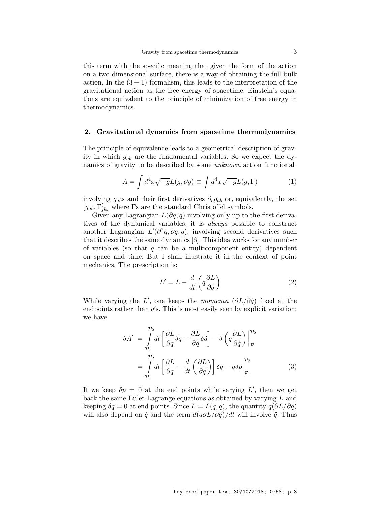this term with the specific meaning that given the form of the action on a two dimensional surface, there is a way of obtaining the full bulk action. In the  $(3+1)$  formalism, this leads to the interpretation of the gravitational action as the free energy of spacetime. Einstein's equations are equivalent to the principle of minimization of free energy in thermodynamics.

## 2. Gravitational dynamics from spacetime thermodynamics

The principle of equivalence leads to a geometrical description of gravity in which  $g_{ab}$  are the fundamental variables. So we expect the dynamics of gravity to be described by some unknown action functional

$$
A = \int d^4x \sqrt{-g} L(g, \partial g) \equiv \int d^4x \sqrt{-g} L(g, \Gamma) \tag{1}
$$

involving  $g_{ab}$ s and their first derivatives  $\partial_c g_{ab}$  or, equivalently, the set  $[g_{ab}, \Gamma^i_{jk}]$  where  $\Gamma$ s are the standard Christoffel symbols.

Given any Lagrangian  $L(\partial q, q)$  involving only up to the first derivatives of the dynamical variables, it is always possible to construct another Lagrangian  $L'(\partial^2 q, \partial q, q)$ , involving second derivatives such that it describes the same dynamics [6]. This idea works for any number of variables (so that  $q$  can be a multicomponent entity) dependent on space and time. But I shall illustrate it in the context of point mechanics. The prescription is:

$$
L' = L - \frac{d}{dt} \left( q \frac{\partial L}{\partial \dot{q}} \right) \tag{2}
$$

While varying the L', one keeps the *momenta*  $(\partial L/\partial \dot{q})$  fixed at the endpoints rather than  $q'$ s. This is most easily seen by explicit variation; we have

$$
\delta A' = \int_{\mathcal{P}_1}^{\mathcal{P}_2} dt \left[ \frac{\partial L}{\partial q} \delta q + \frac{\partial L}{\partial \dot{q}} \delta \dot{q} \right] - \delta \left( q \frac{\partial L}{\partial \dot{q}} \right) \Big|_{\mathcal{P}_1}^{\mathcal{P}_2}
$$

$$
= \int_{\mathcal{P}_1}^{\mathcal{P}_2} dt \left[ \frac{\partial L}{\partial q} - \frac{d}{dt} \left( \frac{\partial L}{\partial \dot{q}} \right) \right] \delta q - q \delta p \Big|_{\mathcal{P}_1}^{\mathcal{P}_2}
$$
(3)

If we keep  $\delta p = 0$  at the end points while varying L', then we get back the same Euler-Lagrange equations as obtained by varying L and keeping  $\delta q = 0$  at end points. Since  $L = L(\dot{q}, q)$ , the quantity  $q(\partial L/\partial \dot{q})$ will also depend on  $\dot{q}$  and the term  $d(q\partial L/\partial \dot{q})/dt$  will involve  $\ddot{q}$ . Thus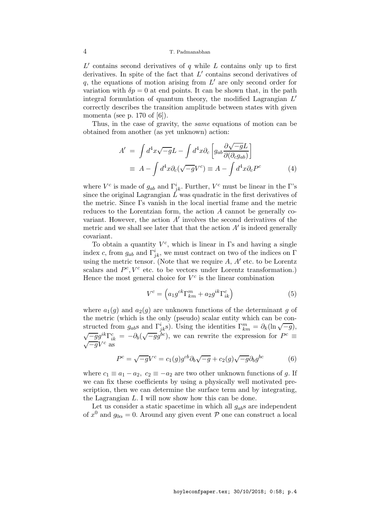$L'$  contains second derivatives of  $q$  while  $L$  contains only up to first derivatives. In spite of the fact that  $L'$  contains second derivatives of  $q$ , the equations of motion arising from  $L'$  are only second order for variation with  $\delta p = 0$  at end points. It can be shown that, in the path integral formulation of quantum theory, the modified Lagrangian  $L'$ correctly describes the transition amplitude between states with given momenta (see p. 170 of  $[6]$ ).

Thus, in the case of gravity, the same equations of motion can be obtained from another (as yet unknown) action:

$$
A' = \int d^4x \sqrt{-g} L - \int d^4x \partial_c \left[ g_{ab} \frac{\partial \sqrt{-g} L}{\partial (\partial_c g_{ab})} \right]
$$
  

$$
\equiv A - \int d^4x \partial_c (\sqrt{-g} V^c) \equiv A - \int d^4x \partial_c P^c
$$
 (4)

where  $V^c$  is made of  $g_{ab}$  and  $\Gamma^i_{jk}$ . Further,  $V^c$  must be linear in the  $\Gamma$ 's since the original Lagrangian  $\tilde{L}$  was quadratic in the first derivatives of the metric. Since Γs vanish in the local inertial frame and the metric reduces to the Lorentzian form, the action A cannot be generally covariant. However, the action  $A'$  involves the second derivatives of the metric and we shall see later that that the action  $A'$  is indeed generally covariant.

To obtain a quantity  $V^c$ , which is linear in  $\Gamma$ s and having a single index c, from  $g_{ab}$  and  $\Gamma^i_{jk}$ , we must contract on two of the indices on  $\Gamma$ using the metric tensor. (Note that we require  $A, A'$  etc. to be Lorentz scalars and  $P^c$ ,  $V^c$  etc. to be vectors under Lorentz transformation.) Hence the most general choice for  $V^c$  is the linear combination

$$
V^c = \left(a_1 g^{ck} \Gamma_{km}^m + a_2 g^{ik} \Gamma_{ik}^c\right) \tag{5}
$$

where  $a_1(g)$  and  $a_2(g)$  are unknown functions of the determinant g of the metric (which is the only (pseudo) scalar entity which can be constructed from  $g_{ab}$ s and  $\Gamma^i_{jk}$ s). Using the identities  $\Gamma^m_{km} = \partial_k (\ln \sqrt{-g}),$  $\sqrt{-g}g^{ik}\Gamma_{ik}^{c} = -\partial_{b}(\sqrt{-g}g^{bc})$ , we can rewrite the expression for  $P^{c} \equiv$  $\sqrt{-g}V^c$  as

$$
Pc = \sqrt{-g}Vc = c1(g)gcb\partial_b\sqrt{-g} + c2(g)\sqrt{-g}\partial_b gbc
$$
 (6)

where  $c_1 \equiv a_1 - a_2$ ,  $c_2 \equiv -a_2$  are two other unknown functions of g. If we can fix these coefficients by using a physically well motivated prescription, then we can determine the surface term and by integrating, the Lagrangian L. I will now show how this can be done.

Let us consider a static spacetime in which all  $g_{ab}$ s are independent of  $x^0$  and  $g_{0\alpha} = 0$ . Around any given event  $P$  one can construct a local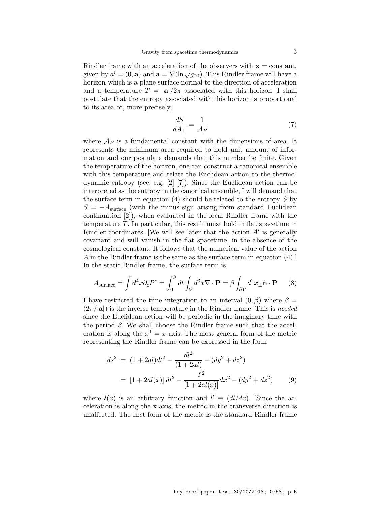Rindler frame with an acceleration of the observers with  $x = constant$ , given by  $a^i = (0, \mathbf{a})$  and  $\mathbf{a} = \nabla(\ln \sqrt{g_{00}})$ . This Rindler frame will have a horizon which is a plane surface normal to the direction of acceleration and a temperature  $T = |\mathbf{a}|/2\pi$  associated with this horizon. I shall postulate that the entropy associated with this horizon is proportional to its area or, more precisely,

$$
\frac{dS}{dA_{\perp}} = \frac{1}{\mathcal{A}_P} \tag{7}
$$

where  $\mathcal{A}_P$  is a fundamental constant with the dimensions of area. It represents the minimum area required to hold unit amount of information and our postulate demands that this number be finite. Given the temperature of the horizon, one can construct a canonical ensemble with this temperature and relate the Euclidean action to the thermodynamic entropy (see, e.g, [2] [7]). Since the Euclidean action can be interpreted as the entropy in the canonical ensemble, I will demand that the surface term in equation  $(4)$  should be related to the entropy S by  $S = -A<sub>surface</sub>$  (with the minus sign arising from standard Euclidean continuation [2]), when evaluated in the local Rindler frame with the temperature T. In particular, this result must hold in flat spacetime in Rindler coordinates. [We will see later that the action  $A'$  is generally covariant and will vanish in the flat spacetime, in the absence of the cosmological constant. It follows that the numerical value of the action A in the Rindler frame is the same as the surface term in equation (4).] In the static Rindler frame, the surface term is

$$
A_{\text{surface}} = \int d^4x \partial_c P^c = \int_0^\beta dt \int_V d^3x \nabla \cdot \mathbf{P} = \beta \int_{\partial \mathcal{V}} d^2x \, \hat{\mathbf{n}} \cdot \mathbf{P} \tag{8}
$$

I have restricted the time integration to an interval  $(0, \beta)$  where  $\beta =$  $(2\pi/|a|)$  is the inverse temperature in the Rindler frame. This is needed since the Euclidean action will be periodic in the imaginary time with the period  $\beta$ . We shall choose the Rindler frame such that the acceleration is along the  $x^1 = x$  axis. The most general form of the metric representing the Rindler frame can be expressed in the form

$$
ds^{2} = (1 + 2al)dt^{2} - \frac{dl^{2}}{(1 + 2al)} - (dy^{2} + dz^{2})
$$

$$
= [1 + 2al(x)] dt^{2} - \frac{l'^{2}}{[1 + 2al(x)]} dx^{2} - (dy^{2} + dz^{2}) \qquad (9)
$$

where  $l(x)$  is an arbitrary function and  $l' \equiv (dl/dx)$ . [Since the acceleration is along the x-axis, the metric in the transverse direction is unaffected. The first form of the metric is the standard Rindler frame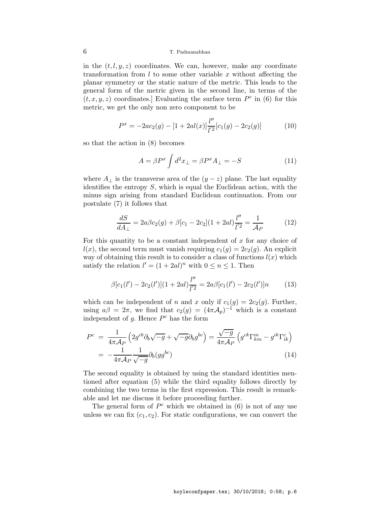in the  $(t, l, y, z)$  coordinates. We can, however, make any coordinate transformation from  $l$  to some other variable  $x$  without affecting the planar symmetry or the static nature of the metric. This leads to the general form of the metric given in the second line, in terms of the  $(t, x, y, z)$  coordinates. Evaluating the surface term  $P^c$  in (6) for this metric, we get the only non zero component to be

$$
P^x = -2ac_2(g) - [1 + 2al(x)] \frac{l''}{l'^2} [c_1(g) - 2c_2(g)] \tag{10}
$$

so that the action in (8) becomes

$$
A = \beta P^x \int d^2 x_\perp = \beta P^x A_\perp = -S \tag{11}
$$

where  $A_{\perp}$  is the transverse area of the  $(y-z)$  plane. The last equality identifies the entropy  $S$ , which is equal the Euclidean action, with the minus sign arising from standard Euclidean continuation. From our postulate (7) it follows that

$$
\frac{dS}{dA_{\perp}} = 2a\beta c_2(g) + \beta[c_1 - 2c_2](1 + 2al)\frac{l''}{l'^2} = \frac{1}{\mathcal{A}_P}
$$
(12)

For this quantity to be a constant independent of  $x$  for any choice of  $l(x)$ , the second term must vanish requiring  $c_1(g) = 2c_2(g)$ . An explicit way of obtaining this result is to consider a class of functions  $l(x)$  which satisfy the relation  $l' = (1 + 2al)^n$  with  $0 \le n \le 1$ . Then

$$
\beta[c_1(l') - 2c_2(l')] (1 + 2al) \frac{l''}{l'^2} = 2a\beta[c_1(l') - 2c_2(l')]n \tag{13}
$$

which can be independent of n and x only if  $c_1(q) = 2c_2(q)$ . Further, using  $a\beta = 2\pi$ , we find that  $c_2(g) = (4\pi\mathcal{A}_p)^{-1}$  which is a constant independent of  $g$ . Hence  $P^c$  has the form

$$
P^{c} = \frac{1}{4\pi A_{P}} \left( 2g^{cb} \partial_{b} \sqrt{-g} + \sqrt{-g} \partial_{b} g^{bc} \right) = \frac{\sqrt{-g}}{4\pi A_{P}} \left( g^{ck} \Gamma_{km}^{m} - g^{ik} \Gamma_{ik}^{c} \right)
$$

$$
= -\frac{1}{4\pi A_{P}} \frac{1}{\sqrt{-g}} \partial_{b} (gg^{bc}) \tag{14}
$$

The second equality is obtained by using the standard identities mentioned after equation (5) while the third equality follows directly by combining the two terms in the first expression. This result is remarkable and let me discuss it before proceeding further.

The general form of  $P^c$  which we obtained in (6) is not of any use unless we can fix  $(c_1, c_2)$ . For static configurations, we can convert the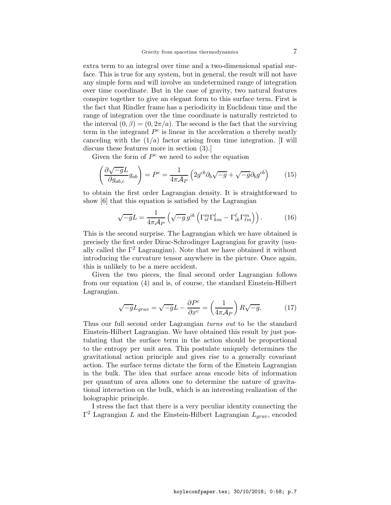extra term to an integral over time and a two-dimensional spatial surface. This is true for any system, but in general, the result will not have any simple form and will involve an undetermined range of integration over time coordinate. But in the case of gravity, two natural features conspire together to give an elegant form to this surface term. First is the fact that Rindler frame has a periodicity in Euclidean time and the range of integration over the time coordinate is naturally restricted to the interval  $(0, \beta) = (0, 2\pi/a)$ . The second is the fact that the surviving term in the integrand  $P<sup>c</sup>$  is linear in the acceleration  $a$  thereby neatly canceling with the  $(1/a)$  factor arising from time integration. [I will discuss these features more in section (3).]

Given the form of  $P^c$  we need to solve the equation

$$
\left(\frac{\partial\sqrt{-g}L}{\partial g_{ab,c}}g_{ab}\right) = P^c = \frac{1}{4\pi\mathcal{A}_P} \left(2g^{cb}\partial_b\sqrt{-g} + \sqrt{-g}\partial_b g^{cb}\right) \tag{15}
$$

to obtain the first order Lagrangian density. It is straightforward to show [6] that this equation is satisfied by the Lagrangian

$$
\sqrt{-g}L = \frac{1}{4\pi\mathcal{A}_P} \left( \sqrt{-g} \, g^{ik} \left( \Gamma_{i\ell}^m \Gamma_{km}^\ell - \Gamma_{ik}^\ell \Gamma_{\ell m}^m \right) \right). \tag{16}
$$

This is the second surprise. The Lagrangian which we have obtained is precisely the first order Dirac-Schrodinger Lagrangian for gravity (usually called the  $\Gamma^2$  Lagrangian). Note that we have obtained it without introducing the curvature tensor anywhere in the picture. Once again, this is unlikely to be a mere accident.

Given the two pieces, the final second order Lagrangian follows from our equation (4) and is, of course, the standard Einstein-Hilbert Lagrangian.

$$
\sqrt{-g}L_{grav} = \sqrt{-g}L - \frac{\partial P^c}{\partial x^c} = \left(\frac{1}{4\pi A_P}\right)R\sqrt{-g}.\tag{17}
$$

Thus our full second order Lagrangian turns out to be the standard Einstein-Hilbert Lagrangian. We have obtained this result by just postulating that the surface term in the action should be proportional to the entropy per unit area. This postulate uniquely determines the gravitational action principle and gives rise to a generally covariant action. The surface terms dictate the form of the Einstein Lagrangian in the bulk. The idea that surface areas encode bits of information per quantum of area allows one to determine the nature of gravitational interaction on the bulk, which is an interesting realization of the holographic principle.

I stress the fact that there is a very peculiar identity connecting the  $Γ<sup>2</sup>$  Lagrangian L and the Einstein-Hilbert Lagrangian  $L_{grav}$ , encoded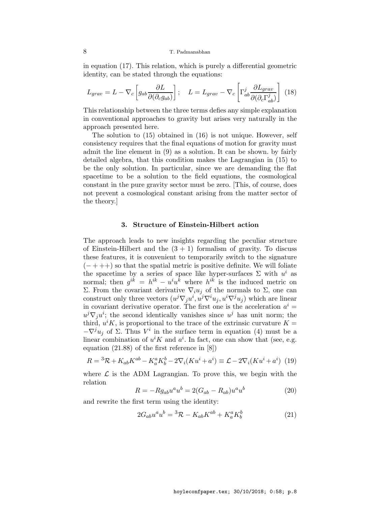in equation (17). This relation, which is purely a differential geometric identity, can be stated through the equations:

$$
L_{grav} = L - \nabla_c \left[ g_{ab} \frac{\partial L}{\partial (\partial_c g_{ab})} \right]; \quad L = L_{grav} - \nabla_c \left[ \Gamma^j_{ab} \frac{\partial L_{grav}}{\partial (\partial_c \Gamma^j_{ab})} \right] \tag{18}
$$

This relationship between the three terms defies any simple explanation in conventional approaches to gravity but arises very naturally in the approach presented here.

The solution to (15) obtained in (16) is not unique. However, self consistency requires that the final equations of motion for gravity must admit the line element in (9) as a solution. It can be shown. by fairly detailed algebra, that this condition makes the Lagrangian in (15) to be the only solution. In particular, since we are demanding the flat spacetime to be a solution to the field equations, the cosmological constant in the pure gravity sector must be zero. [This, of course, does not prevent a cosmological constant arising from the matter sector of the theory.]

#### 3. Structure of Einstein-Hilbert action

The approach leads to new insights regarding the peculiar structure of Einstein-Hilbert and the  $(3 + 1)$  formalism of gravity. To discuss these features, it is convenient to temporarily switch to the signature  $(- + + +)$  so that the spatial metric is positive definite. We will foliate the spacetime by a series of space like hyper-surfaces  $\Sigma$  with  $u^i$  as normal; then  $g^{ik} = h^{ik} - u^i u^k$  where  $h^{ik}$  is the induced metric on Σ. From the covariant derivative  $\nabla_i u_j$  of the normals to Σ, one can construct only three vectors  $(u^j \nabla_j u^i, u^j \nabla^i u_j, u^i \nabla^j u_j)$  which are linear in covariant derivative operator. The first one is the acceleration  $a^i =$  $u^j \nabla_j u^i$ ; the second identically vanishes since  $u^j$  has unit norm; the third,  $u^iK$ , is proportional to the trace of the extrinsic curvature  $K =$  $-\nabla^j u_j$  of Σ. Thus  $V^i$  in the surface term in equation (4) must be a linear combination of  $u^i K$  and  $a^i$ . In fact, one can show that (see, e.g. equation (21.88) of the first reference in [8])

$$
R = {}^{3}\mathcal{R} + K_{ab}K^{ab} - K_{a}^{a}K_{b}^{b} - 2\nabla_{i}(Ku^{i} + a^{i}) \equiv \mathcal{L} - 2\nabla_{i}(Ku^{i} + a^{i})
$$
 (19)

where  $\mathcal L$  is the ADM Lagrangian. To prove this, we begin with the relation

$$
R = -Rg_{ab}u^{a}u^{b} = 2(G_{ab} - R_{ab})u^{a}u^{b}
$$
\n(20)

and rewrite the first term using the identity:

$$
2G_{ab}u^a u^b = {}^3\mathcal{R} - K_{ab}K^{ab} + K_a^a K_b^b \tag{21}
$$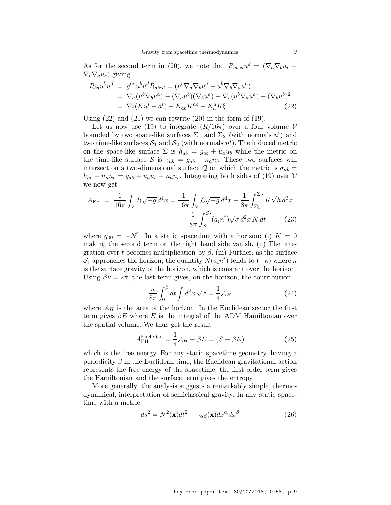As for the second term in (20), we note that  $R_{abcd}u^d = (\nabla_a \nabla_b u_c \nabla_b \nabla_a u_c$ ) giving

$$
R_{bd}u^bu^d = g^{ac}u^bu^d R_{abcd} = (u^b \nabla_a \nabla_b u^a - u^b \nabla_b \nabla_a u^a)
$$
  
=  $\nabla_a (u^b \nabla_b u^a) - (\nabla_a u^b)(\nabla_b u^a) - \nabla_b (u^b \nabla_a u^a) + (\nabla_b u^b)^2$   
=  $\nabla_i (K u^i + a^i) - K_{ab} K^{ab} + K_a^a K_b^b$  (22)

Using  $(22)$  and  $(21)$  we can rewrite  $(20)$  in the form of  $(19)$ .

Let us now use (19) to integrate  $(R/16\pi)$  over a four volume V bounded by two space-like surfaces  $\Sigma_1$  and  $\Sigma_2$  (with normals  $u^i$ ) and two time-like surfaces  $S_1$  and  $S_2$  (with normals  $n^i$ ). The induced metric on the space-like surface  $\Sigma$  is  $h_{ab} = g_{ab} + u_a u_b$  while the metric on the time-like surface S is  $\gamma_{ab} = g_{ab} - n_a n_b$ . These two surfaces will intersect on a two-dimensional surface Q on which the metric is  $\sigma_{ab} =$  $h_{ab} - n_a n_b = g_{ab} + u_a u_b - n_a n_b$ . Integrating both sides of (19) over V we now get

$$
A_{\rm EH} = \frac{1}{16\pi} \int_{\mathcal{V}} R\sqrt{-g} \, d^4x = \frac{1}{16\pi} \int_{\mathcal{V}} \mathcal{L}\sqrt{-g} \, d^4x - \frac{1}{8\pi} \int_{\Sigma_1}^{\Sigma_2} K\sqrt{h} \, d^3x
$$

$$
-\frac{1}{8\pi} \int_{\mathcal{S}_1}^{\mathcal{S}_2} (a_i n^i) \sqrt{\sigma} \, d^2x \, N \, dt \tag{23}
$$

where  $g_{00} = -N^2$ . In a static spacetime with a horizon: (i)  $K = 0$ making the second term on the right hand side vanish. (ii) The integration over t becomes multiplication by  $\beta$ . (iii) Further, as the surface  $S_1$  approaches the horizon, the quantity  $N(a_in^i)$  tends to  $(-\kappa)$  where  $\kappa$ is the surface gravity of the horizon, which is constant over the horizon. Using  $\beta \kappa = 2\pi$ , the last term gives, on the horizon, the contribution

$$
\frac{\kappa}{8\pi} \int_0^\beta dt \int d^2x \sqrt{\sigma} = \frac{1}{4} \mathcal{A}_H
$$
\n(24)

where  $\mathcal{A}_H$  is the area of the horizon. In the Euclidean sector the first term gives  $\beta E$  where E is the integral of the ADM Hamiltonian over the spatial volume. We thus get the result

$$
A_{\rm EH}^{\rm Euclidean} = \frac{1}{4} \mathcal{A}_H - \beta E = (S - \beta E) \tag{25}
$$

which is the free energy. For any static spacetime geometry, having a periodicity  $\beta$  in the Euclidean time, the Euclidean gravitational action represents the free energy of the spacetime; the first order term gives the Hamiltonian and the surface term gives the entropy.

More generally, the analysis suggests a remarkably simple, thermodynamical, interpretation of semiclassical gravity. In any static spacetime with a metric

$$
ds^{2} = N^{2}(\mathbf{x})dt^{2} - \gamma_{\alpha\beta}(\mathbf{x})dx^{\alpha}dx^{\beta}
$$
 (26)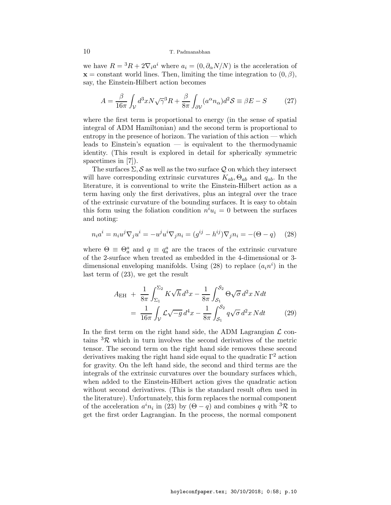we have  $R = {}^{3}R + 2\nabla_i a^i$  where  $a_i = (0, \partial_\alpha N/N)$  is the acceleration of  $x =$  constant world lines. Then, limiting the time integration to  $(0, \beta)$ , say, the Einstein-Hilbert action becomes

$$
A = \frac{\beta}{16\pi} \int_{\mathcal{V}} d^3 x N \sqrt{\gamma}^3 R + \frac{\beta}{8\pi} \int_{\partial \mathcal{V}} (a^{\alpha} n_{\alpha}) d^2 \mathcal{S} \equiv \beta E - S \tag{27}
$$

where the first term is proportional to energy (in the sense of spatial integral of ADM Hamiltonian) and the second term is proportional to entropy in the presence of horizon. The variation of this action — which leads to Einstein's equation — is equivalent to the thermodynamic identity. (This result is explored in detail for spherically symmetric spacetimes in [7]).

The surfaces  $\Sigma$ , S as well as the two surface Q on which they intersect will have corresponding extrinsic curvatures  $K_{ab}$ ,  $\Theta_{ab}$  and  $q_{ab}$ . In the literature, it is conventional to write the Einstein-Hilbert action as a term having only the first derivatives, plus an integral over the trace of the extrinsic curvature of the bounding surfaces. It is easy to obtain this form using the foliation condition  $n^i u_i = 0$  between the surfaces and noting:

$$
n_i a^i = n_i u^j \nabla_j u^i = -u^j u^i \nabla_j n_i = (g^{ij} - h^{ij}) \nabla_j n_i = -(\Theta - q) \tag{28}
$$

where  $\Theta \equiv \Theta_a^a$  and  $q \equiv q_a^a$  are the traces of the extrinsic curvature of the 2-surface when treated as embedded in the 4-dimensional or 3 dimensional enveloping manifolds. Using (28) to replace  $(a_i n^i)$  in the last term of (23), we get the result

$$
A_{\rm EH} + \frac{1}{8\pi} \int_{\Sigma_1}^{\Sigma_2} K \sqrt{h} \, d^3 x - \frac{1}{8\pi} \int_{\mathcal{S}_1}^{\mathcal{S}_2} \Theta \sqrt{\sigma} \, d^2 x \, N dt
$$
  
= 
$$
\frac{1}{16\pi} \int_{\mathcal{V}} \mathcal{L} \sqrt{-g} \, d^4 x - \frac{1}{8\pi} \int_{\mathcal{S}_1}^{\mathcal{S}_2} q \sqrt{\sigma} \, d^2 x \, N dt \qquad (29)
$$

In the first term on the right hand side, the ADM Lagrangian  $\mathcal L$  contains  ${}^{3}\mathcal{R}$  which in turn involves the second derivatives of the metric tensor. The second term on the right hand side removes these second derivatives making the right hand side equal to the quadratic  $\Gamma^2$  action for gravity. On the left hand side, the second and third terms are the integrals of the extrinsic curvatures over the boundary surfaces which, when added to the Einstein-Hilbert action gives the quadratic action without second derivatives. (This is the standard result often used in the literature). Unfortunately, this form replaces the normal component of the acceleration  $a^i n_i$  in (23) by  $(\Theta - q)$  and combines q with <sup>3</sup>R to get the first order Lagrangian. In the process, the normal component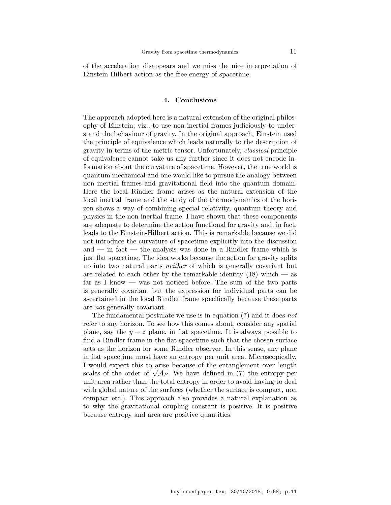of the acceleration disappears and we miss the nice interpretation of Einstein-Hilbert action as the free energy of spacetime.

#### 4. Conclusions

The approach adopted here is a natural extension of the original philosophy of Einstein; viz., to use non inertial frames judiciously to understand the behaviour of gravity. In the original approach, Einstein used the principle of equivalence which leads naturally to the description of gravity in terms of the metric tensor. Unfortunately, classical principle of equivalence cannot take us any further since it does not encode information about the curvature of spacetime. However, the true world is quantum mechanical and one would like to pursue the analogy between non inertial frames and gravitational field into the quantum domain. Here the local Rindler frame arises as the natural extension of the local inertial frame and the study of the thermodynamics of the horizon shows a way of combining special relativity, quantum theory and physics in the non inertial frame. I have shown that these components are adequate to determine the action functional for gravity and, in fact, leads to the Einstein-Hilbert action. This is remarkable because we did not introduce the curvature of spacetime explicitly into the discussion and — in fact — the analysis was done in a Rindler frame which is just flat spacetime. The idea works because the action for gravity splits up into two natural parts neither of which is generally covariant but are related to each other by the remarkable identity  $(18)$  which — as far as I know — was not noticed before. The sum of the two parts is generally covariant but the expression for individual parts can be ascertained in the local Rindler frame specifically because these parts are not generally covariant.

The fundamental postulate we use is in equation (7) and it does not refer to any horizon. To see how this comes about, consider any spatial plane, say the  $y - z$  plane, in flat spacetime. It is always possible to find a Rindler frame in the flat spacetime such that the chosen surface acts as the horizon for some Rindler observer. In this sense, any plane in flat spacetime must have an entropy per unit area. Microscopically, I would expect this to arise because of the entanglement over length scales of the order of  $\sqrt{AP}$ . We have defined in (7) the entropy per unit area rather than the total entropy in order to avoid having to deal with global nature of the surfaces (whether the surface is compact, non compact etc.). This approach also provides a natural explanation as to why the gravitational coupling constant is positive. It is positive because entropy and area are positive quantities.